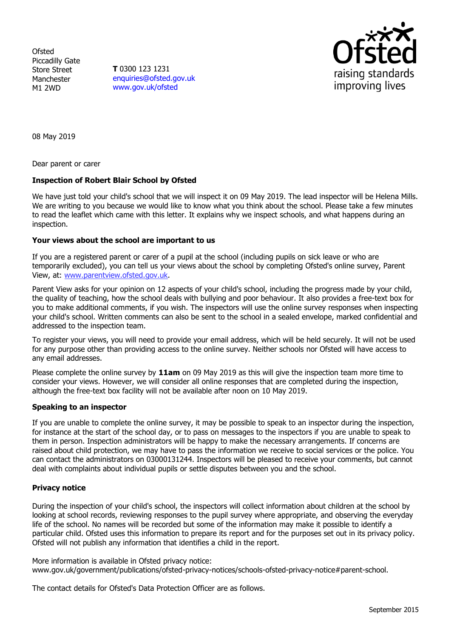**Ofsted** Piccadilly Gate Store Street Manchester M1 2WD

**T** 0300 123 1231 [enquiries@ofsted.gov.uk](mailto:enquiries@ofsted.gov.uk) [www.gov.uk/ofsted](http://www.gov.uk/ofsted)



08 May 2019

Dear parent or carer

## **Inspection of Robert Blair School by Ofsted**

We have just told your child's school that we will inspect it on 09 May 2019. The lead inspector will be Helena Mills. We are writing to you because we would like to know what you think about the school. Please take a few minutes to read the leaflet which came with this letter. It explains why we inspect schools, and what happens during an inspection.

## **Your views about the school are important to us**

If you are a registered parent or carer of a pupil at the school (including pupils on sick leave or who are temporarily excluded), you can tell us your views about the school by completing Ofsted's online survey, Parent View, at: [www.parentview.ofsted.gov.uk.](http://www.parentview.ofsted.gov.uk/)

Parent View asks for your opinion on 12 aspects of your child's school, including the progress made by your child, the quality of teaching, how the school deals with bullying and poor behaviour. It also provides a free-text box for you to make additional comments, if you wish. The inspectors will use the online survey responses when inspecting your child's school. Written comments can also be sent to the school in a sealed envelope, marked confidential and addressed to the inspection team.

To register your views, you will need to provide your email address, which will be held securely. It will not be used for any purpose other than providing access to the online survey. Neither schools nor Ofsted will have access to any email addresses.

Please complete the online survey by **11am** on 09 May 2019 as this will give the inspection team more time to consider your views. However, we will consider all online responses that are completed during the inspection, although the free-text box facility will not be available after noon on 10 May 2019.

## **Speaking to an inspector**

If you are unable to complete the online survey, it may be possible to speak to an inspector during the inspection, for instance at the start of the school day, or to pass on messages to the inspectors if you are unable to speak to them in person. Inspection administrators will be happy to make the necessary arrangements. If concerns are raised about child protection, we may have to pass the information we receive to social services or the police. You can contact the administrators on 03000131244. Inspectors will be pleased to receive your comments, but cannot deal with complaints about individual pupils or settle disputes between you and the school.

## **Privacy notice**

During the inspection of your child's school, the inspectors will collect information about children at the school by looking at school records, reviewing responses to the pupil survey where appropriate, and observing the everyday life of the school. No names will be recorded but some of the information may make it possible to identify a particular child. Ofsted uses this information to prepare its report and for the purposes set out in its privacy policy. Ofsted will not publish any information that identifies a child in the report.

More information is available in Ofsted privacy notice: [www.gov.uk/government/publications/ofsted-privacy-notices/schools-ofsted-privacy-notice#parent-school.](http://www.gov.uk/government/publications/ofsted-privacy-notices/schools-ofsted-privacy-notice#parent-school)

The contact details for Ofsted's Data Protection Officer are as follows.